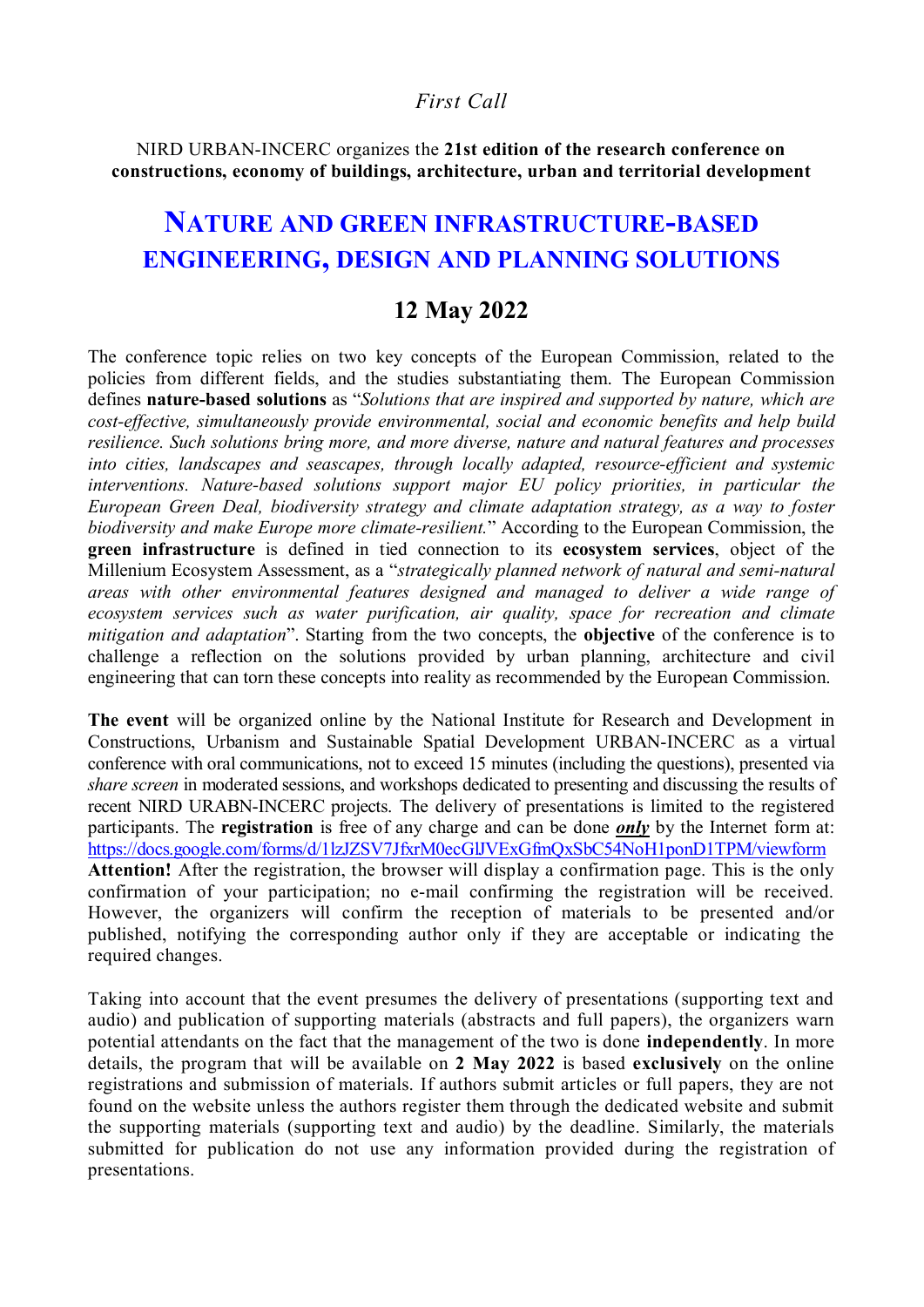# *First Call*

NIRD URBAN-INCERC organizes the **21st edition of the research conference on constructions, economy of buildings, architecture, urban and territorial development**

# **NATURE AND GREEN INFRASTRUCTURE-BASED ENGINEERING, DESIGN AND PLANNING SOLUTIONS**

# **12 May 2022**

The conference topic relies on two key concepts of the European Commission, related to the policies from different fields, and the studies substantiating them. The European Commission defines **nature-based solutions** as "*Solutions that are inspired and supported by nature, which are cost-effective, simultaneously provide environmental, social and economic benefits and help build resilience. Such solutions bring more, and more diverse, nature and natural features and processes into cities, landscapes and seascapes, through locally adapted, resource-efficient and systemic interventions. Nature-based solutions support major EU policy priorities, in particular the European Green Deal, biodiversity strategy and climate adaptation strategy, as a way to foster biodiversity and make Europe more climate-resilient.*" According to the European Commission, the **green infrastructure** is defined in tied connection to its **ecosystem services**, object of the Millenium Ecosystem Assessment, as a "*strategically planned network of natural and semi-natural areas with other environmental features designed and managed to deliver a wide range of ecosystem services such as water purification, air quality, space for recreation and climate mitigation and adaptation*". Starting from the two concepts, the **objective** of the conference is to challenge a reflection on the solutions provided by urban planning, architecture and civil engineering that can torn these concepts into reality as recommended by the European Commission.

**The event** will be organized online by the National Institute for Research and Development in Constructions, Urbanism and Sustainable Spatial Development URBAN-INCERC as a virtual conference with oral communications, not to exceed 15 minutes (including the questions), presented via *share screen* in moderated sessions, and workshops dedicated to presenting and discussing the results of recent NIRD URABN-INCERC projects. The delivery of presentations is limited to the registered participants. The **registration** is free of any charge and can be done *only* by the Internet form at: https://docs.google.com/forms/d/1lzJZSV7JfxrM0ecGlJVExGfmQxSbC54NoH1ponD1TPM/viewform **Attention!** After the registration, the browser will display a confirmation page. This is the only confirmation of your participation; no e-mail confirming the registration will be received. However, the organizers will confirm the reception of materials to be presented and/or published, notifying the corresponding author only if they are acceptable or indicating the required changes.

Taking into account that the event presumes the delivery of presentations (supporting text and audio) and publication of supporting materials (abstracts and full papers), the organizers warn potential attendants on the fact that the management of the two is done **independently**. In more details, the program that will be available on **2 May 2022** is based **exclusively** on the online registrations and submission of materials. If authors submit articles or full papers, they are not found on the website unless the authors register them through the dedicated website and submit the supporting materials (supporting text and audio) by the deadline. Similarly, the materials submitted for publication do not use any information provided during the registration of presentations.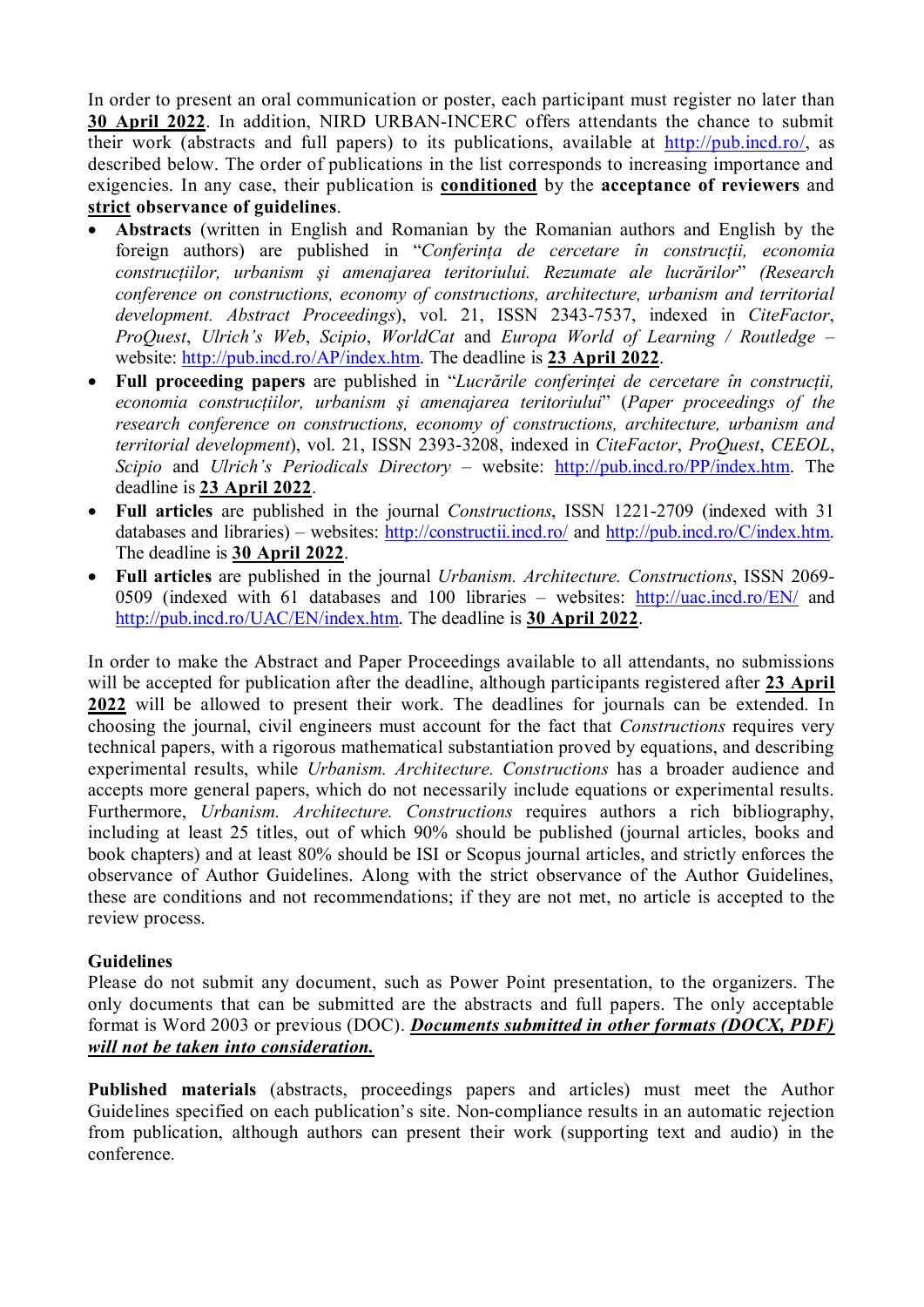In order to present an oral communication or poster, each participant must register no later than **30 April 2022**. In addition, NIRD URBAN-INCERC offers attendants the chance to submit their work (abstracts and full papers) to its publications, available at http://pub.incd.ro/, as described below. The order of publications in the list corresponds to increasing importance and exigencies. In any case, their publication is **conditioned** by the **acceptance of reviewers** and **strict observance of guidelines**.

- · **Abstracts** (written in English and Romanian by the Romanian authors and English by the foreign authors) are published in "*Conferinţa de cercetare în construcţii, economia construcţiilor, urbanism şi amenajarea teritoriului. Rezumate ale lucrărilor*" *(Research conference on constructions, economy of constructions, architecture, urbanism and territorial development. Abstract Proceedings*), vol. 21, ISSN 2343-7537, indexed in *CiteFactor*, *ProQuest*, *Ulrich's Web*, *Scipio*, *WorldCat* and *Europa World of Learning / Routledge* – website: http://pub.incd.ro/AP/index.htm. The deadline is **23 April 2022**.
- · **Full proceeding papers** are published in "*Lucrările conferinţei de cercetare în construcţii, economia construcţiilor, urbanism şi amenajarea teritoriului*" (*Paper proceedings of the research conference on constructions, economy of constructions, architecture, urbanism and territorial development*), vol. 21, ISSN 2393-3208, indexed in *CiteFactor*, *ProQuest*, *CEEOL*, *Scipio* and *Ulrich's Periodicals Directory* – website: http://pub.incd.ro/PP/index.htm. The deadline is **23 April 2022**.
- · **Full articles** are published in the journal *Constructions*, ISSN 1221-2709 (indexed with 31 databases and libraries) – websites: http://constructii.incd.ro/ and http://pub.incd.ro/C/index.htm. The deadline is **30 April 2022**.
- · **Full articles** are published in the journal *Urbanism. Architecture. Constructions*, ISSN 2069- 0509 (indexed with 61 databases and 100 libraries – websites: http://uac.incd.ro/EN/ and http://pub.incd.ro/UAC/EN/index.htm. The deadline is **30 April 2022**.

In order to make the Abstract and Paper Proceedings available to all attendants, no submissions will be accepted for publication after the deadline, although participants registered after **23 April 2022** will be allowed to present their work. The deadlines for journals can be extended. In choosing the journal, civil engineers must account for the fact that *Constructions* requires very technical papers, with a rigorous mathematical substantiation proved by equations, and describing experimental results, while *Urbanism. Architecture. Constructions* has a broader audience and accepts more general papers, which do not necessarily include equations or experimental results. Furthermore, *Urbanism. Architecture. Constructions* requires authors a rich bibliography, including at least 25 titles, out of which 90% should be published (journal articles, books and book chapters) and at least 80% should be ISI or Scopus journal articles, and strictly enforces the observance of Author Guidelines. Along with the strict observance of the Author Guidelines, these are conditions and not recommendations; if they are not met, no article is accepted to the review process.

## **Guidelines**

Please do not submit any document, such as Power Point presentation, to the organizers. The only documents that can be submitted are the abstracts and full papers. The only acceptable format is Word 2003 or previous (DOC). *Documents submitted in other formats (DOCX, PDF) will not be taken into consideration.*

**Published materials** (abstracts, proceedings papers and articles) must meet the Author Guidelines specified on each publication's site. Non-compliance results in an automatic rejection from publication, although authors can present their work (supporting text and audio) in the conference.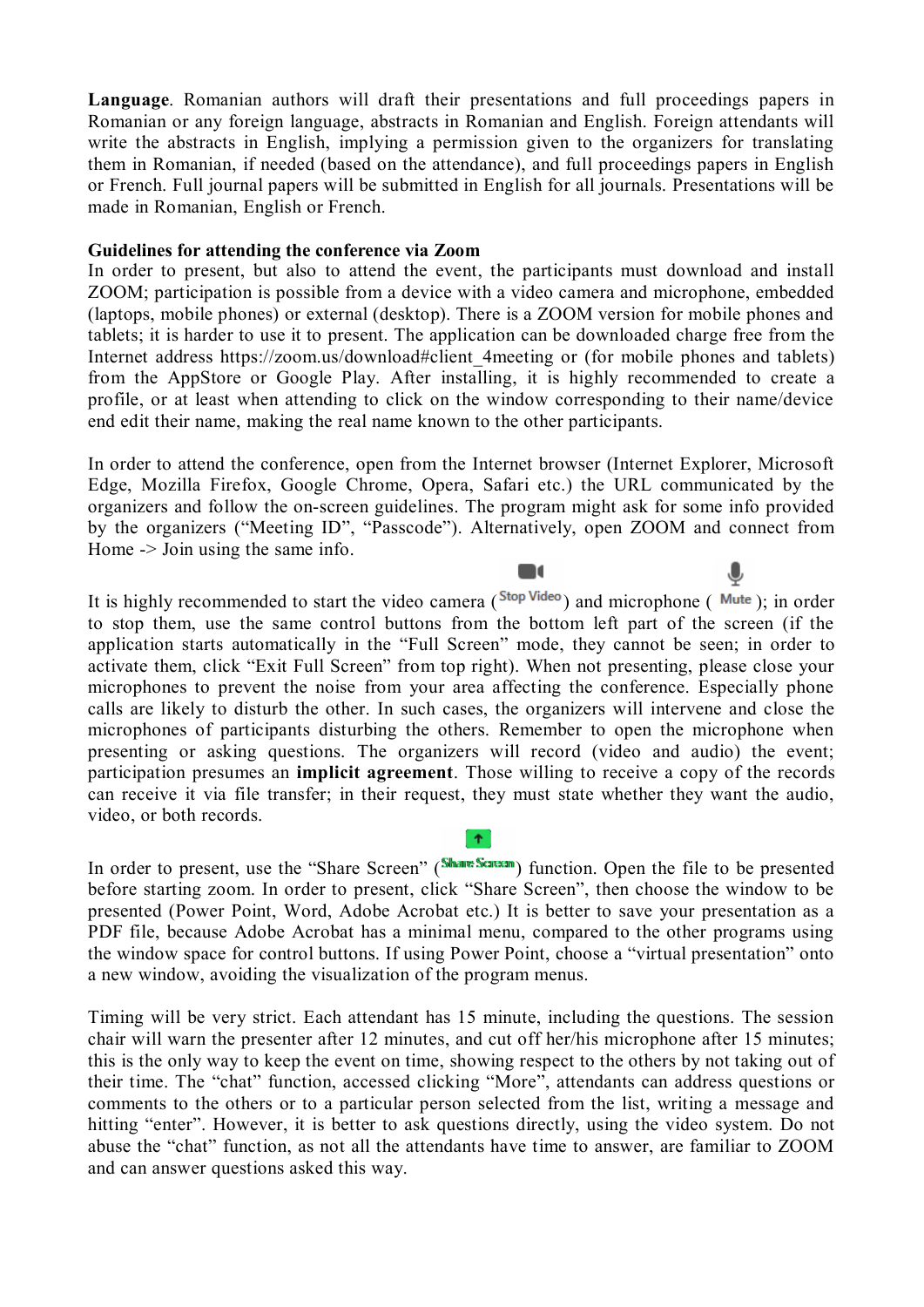**Language**. Romanian authors will draft their presentations and full proceedings papers in Romanian or any foreign language, abstracts in Romanian and English. Foreign attendants will write the abstracts in English, implying a permission given to the organizers for translating them in Romanian, if needed (based on the attendance), and full proceedings papers in English or French. Full journal papers will be submitted in English for all journals. Presentations will be made in Romanian, English or French.

### **Guidelines for attending the conference via Zoom**

In order to present, but also to attend the event, the participants must download and install ZOOM; participation is possible from a device with a video camera and microphone, embedded (laptops, mobile phones) or external (desktop). There is a ZOOM version for mobile phones and tablets; it is harder to use it to present. The application can be downloaded charge free from the Internet address https://zoom.us/download#client 4meeting or (for mobile phones and tablets) from the AppStore or Google Play. After installing, it is highly recommended to create a profile, or at least when attending to click on the window corresponding to their name/device end edit their name, making the real name known to the other participants.

In order to attend the conference, open from the Internet browser (Internet Explorer, Microsoft Edge, Mozilla Firefox, Google Chrome, Opera, Safari etc.) the URL communicated by the organizers and follow the on-screen guidelines. The program might ask for some info provided by the organizers ("Meeting ID", "Passcode"). Alternatively, open ZOOM and connect from Home -> Join using the same info.

 $\blacksquare$ 

 $\bf \bullet$ 

It is highly recommended to start the video camera ( $^{Stop Video}$ ) and microphone (Mute); in order to stop them, use the same control buttons from the bottom left part of the screen (if the application starts automatically in the "Full Screen" mode, they cannot be seen; in order to activate them, click "Exit Full Screen" from top right). When not presenting, please close your microphones to prevent the noise from your area affecting the conference. Especially phone calls are likely to disturb the other. In such cases, the organizers will intervene and close the microphones of participants disturbing the others. Remember to open the microphone when presenting or asking questions. The organizers will record (video and audio) the event; participation presumes an **implicit agreement**. Those willing to receive a copy of the records can receive it via file transfer; in their request, they must state whether they want the audio, video, or both records.

In order to present, use the "Share Screen" (Share Screen") function. Open the file to be presented before starting zoom. In order to present, click "Share Screen", then choose the window to be presented (Power Point, Word, Adobe Acrobat etc.) It is better to save your presentation as a PDF file, because Adobe Acrobat has a minimal menu, compared to the other programs using the window space for control buttons. If using Power Point, choose a "virtual presentation" onto a new window, avoiding the visualization of the program menus.

 $\uparrow$ 

Timing will be very strict. Each attendant has 15 minute, including the questions. The session chair will warn the presenter after 12 minutes, and cut off her/his microphone after 15 minutes; this is the only way to keep the event on time, showing respect to the others by not taking out of their time. The "chat" function, accessed clicking "More", attendants can address questions or comments to the others or to a particular person selected from the list, writing a message and hitting "enter". However, it is better to ask questions directly, using the video system. Do not abuse the "chat" function, as not all the attendants have time to answer, are familiar to ZOOM and can answer questions asked this way.